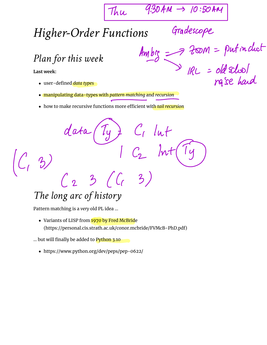$Thu$  9:30 AM  $\rightarrow$  10:50 AM

Gradescope

*Higher-Order Functions*

*Plan for this week*

**Last week:**

- user-defined *data types*
- manipulating data-types with *pattern matching* and *recursion*
- how to make recursive functions more efficient with *tail recursion*

data ('ly ) C, lut

*The long arc of history*

 $C_1$  3)  $C_2$  /nt

 $3/6$ 

Pattern matching is a *very* old PL idea …

• Variants of LISP from 1970 by Fred McBride (https://personal.cis.strath.ac.uk/conor.mcbride/FVMcB-PhD.pdf)

... but will finally be added to Python 3.10

https://www.python.org/dev/peps/pep-0622/

 $A_m$ big  $\implies$  200M = putinchat  $IRL = old$  School rafse han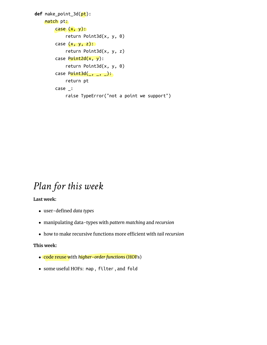```
def make_point_3d(pt):
    match pt:
        case (x, y): return Point3d(x, y, 0)
        case (x, y, z):
             return Point3d(x, y, z)
        case Point2d(x, y):
             return Point3d(x, y, 0)
        case Point3d(\_, \_, \_):
             return pt
         case _:
             raise TypeError("not a point we support")
```
### *Plan for this week*

**Last week:**

- user-defined *data types*
- manipulating data-types with *pattern matching* and *recursion*
- how to make recursive functions more efficient with *tail recursion*

#### **This week:**

- code reuse with *higher-order functions* (HOFs)
- some useful HOFs: map , filter , and fold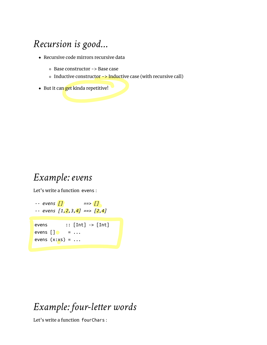## *Recursion is good…*

- Recursive code mirrors recursive data
	- Base constructor -> Base case
	- $\circ$  Inductive constructor  $\rightarrow$  Inductive case (with recursive call)
- But it can get kinda repetitive!

### *Example: evens*

Let's write a function evens :

```
-- evens [] ==> []
-- evens [1,2,3,4] ==> [2,4]
evens :: [Int] \rightarrow [Int]evens \begin{bmatrix} \end{bmatrix} = ...
evens (x:xs) = ...
```
### *Example: four-letter words*

Let's write a function fourChars :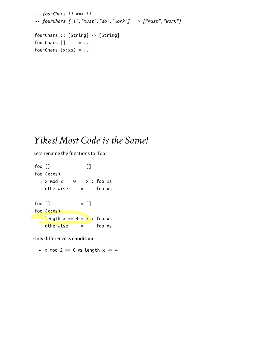```
-- fourChars [] ==> []
-- fourChars ["i","must","do","work"] ==> ["must","work"]
fourChars :: [String] -> [String]
fourChars [] = ...
fourChars (x:xs) = ...
```
### *Yikes! Most Code is the Same!*

Lets rename the functions to foo :

 $foo [ ] = []$ foo (x:xs)  $\vert$  x mod 2 == 0 = x : foo xs | otherwise = foo xs  $foo [ ] = []$ foo (x:xs) **Length**  $x = 4 = x$ **:** foo xs | otherwise = foo xs

**Only difference is condition** 

•  $x \mod 2 == 0$  vs length  $x == 4$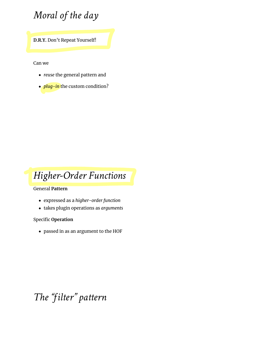## *Moral of the day*

**D.R.Y.** Don't Repeat Yourself!

Can we

- *reuse* the general pattern and
- *plug-in* the custom condition?



#### General **Pattern**

- expressed as a *higher-order function*
- takes plugin operations as *arguments*

Specific **Operation**

passed in as an argument to the HOF

### *The "filter" pattern*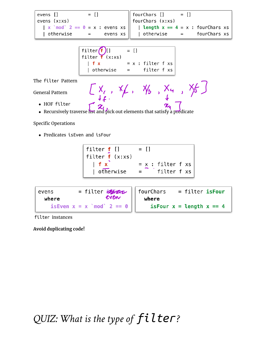| $=$ $\Box$<br>evens [] | $\begin{array}{rcl} \text{fourChars} & \text{[]} & = [] \\ \text{fourChars} & \text{(x:xs)} \end{array}$ |
|------------------------|----------------------------------------------------------------------------------------------------------|
| evens (x:xs)           |                                                                                                          |
|                        | x `mod` 2 == $\theta$ = x : evens xs      length x == 4 = x : fourChars xs                               |
| evens $xs$             | fourChars xs<br>  otherwise     =                                                                        |
|                        |                                                                                                          |

```
filter\left(\begin{matrix} f \\ f \end{matrix}\right)[]<br>filter f (x:xs)
                                   = [ ]|f x= x : filter f xs| otherwise
                                                filter f xs
                                   \qquad \qquad =
```
The filter Pattern

General Pattern

- HOF filter
- HOF filter<br>Recursively traverse list and pick out elements that satisfy a predicate

Specific Operations

Predicates isEven and isFour

 $[X_{i}, X_{f}, X_{b}, X_{a}, X_{f}]$ 

| evens | $=$ filter $\frac{dy}{dx}$ fourChars | = filter isFour              |
|-------|--------------------------------------|------------------------------|
| where |                                      |                              |
|       | is Even $x = x$ `mod` 2 == 0         | isFour $x =$ length $x == 4$ |

filter instances

**Avoid duplicating code!**

*QUIZ: What is the type of filter?*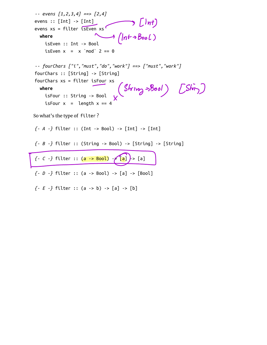*-- evens [1,2,3,4] ==> [2,4]* evens :: [Int] -> [Int] evens  $xs = filter$  isEven  $xs$  **where** isEven :: Int -> Bool isEven  $x = x \mod 2 = 0$ *-- fourChars ["i","must","do","work"] ==> ["must","work"]* fourChars :: [String] -> [String] fourChars xs = filter isFour xs **where** isFour :: String -> Bool isFour  $x =$  length  $x = 4$ So what's the type of filter ? *{- A -}* filter :: (Int -> Bool) -> [Int] -> [Int] *{- B -}* filter :: (String -> Bool) -> [String] -> [String] *{- C -}* filter :: (a -> Bool) - [a] > [a] *{- D -}* filter :: (a -> Bool) -> [a] -> [Bool] *{- E -}* filter :: (a -> b) -> [a] -> [b] s [Int)  $(ln t \rightarrow Bool)$  $(Skrn)$   $(Skn)$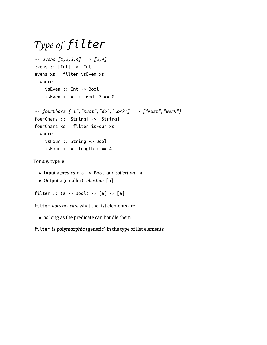# *Type of filter*

```
-- evens [1,2,3,4] ==> [2,4]
evens :: [Int] -> [Int]
evens xs = filter isEven xs
  where
    isEven :: Int -> Bool
   isEven x = x \mod 2 = 0-- fourChars ["i","must","do","work"] ==> ["must","work"]
fourChars :: [String] -> [String]
fourChars xs = filter isFour xs
  where
    isFour :: String -> Bool
   isFour x = length x == 4
```
For *any* type a

- **Input** a *predicate* a -> Bool and *collection* [a]
- **Output** a (smaller) *collection* [a]

filter :: (a -> Bool) -> [a] -> [a]

filter *does not care* what the list elements are

• as long as the predicate can handle them

filter is **polymorphic** (generic) in the type of list elements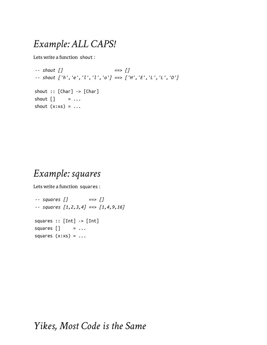### *Example: ALL CAPS!*

Lets write a function shout :

*-- shout [] ==> [] -- shout ['h','e','l','l','o'] ==> ['H','E','L','L','O']* shout :: [Char] -> [Char] shout  $\begin{bmatrix} \cdot & \cdot & \cdot \\ \cdot & \cdot & \cdot \end{bmatrix}$ shout  $(x:xs) = ...$ 

### *Example: squares*

Lets write a function squares :

*-- squares [] ==> [] -- squares [1,2,3,4] ==> [1,4,9,16]* squares :: [Int] -> [Int] squares  $[]$  =  $\ldots$ squares  $(x:xs) = ...$ 

### *Yikes, Most Code is the Same*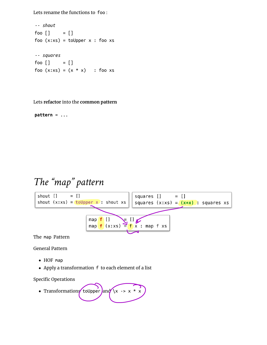Lets rename the functions to foo :

```
-- shout
foo [] = []foo (x:xs) = tolpper \times : foo xs
-- squares
foo \begin{bmatrix} 1 \\ 1 \end{bmatrix} = \begin{bmatrix} 1 \\ 1 \end{bmatrix}foo (x:xs) = (x * x) : foo xs
```
Lets **refactor** into the **common pattern**

 $pattern = ...$ 

### *The "map" pattern*



General Pattern

- HOF map
- Apply a transformation f to each element of a list

Specific Operations

• Transformations to Upper and  $\sqrt{x}$  ->  $x * x$